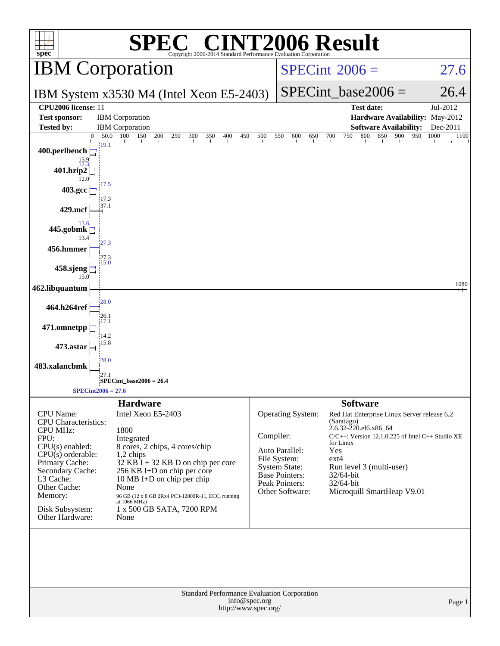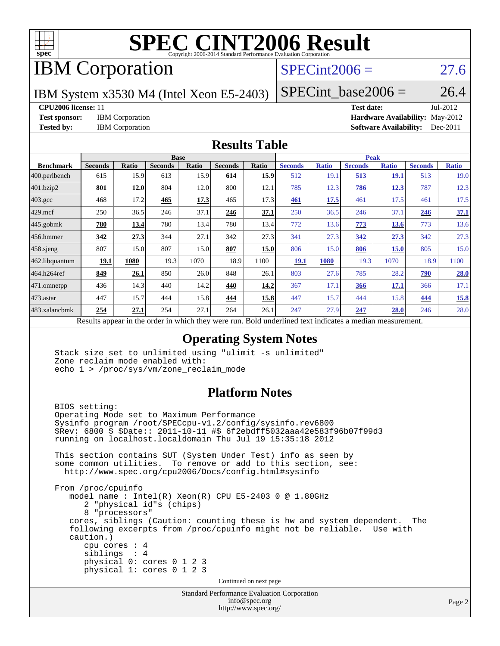

# **[SPEC CINT2006 Result](http://www.spec.org/auto/cpu2006/Docs/result-fields.html#SPECCINT2006Result)**

### IBM Corporation

### $SPECint2006 = 27.6$  $SPECint2006 = 27.6$

IBM System x3530 M4 (Intel Xeon E5-2403)

 $SPECTnt\_base2006 = 26.4$ 

### **[CPU2006 license:](http://www.spec.org/auto/cpu2006/Docs/result-fields.html#CPU2006license)** 11 **[Test date:](http://www.spec.org/auto/cpu2006/Docs/result-fields.html#Testdate)** Jul-2012

**[Test sponsor:](http://www.spec.org/auto/cpu2006/Docs/result-fields.html#Testsponsor)** IBM Corporation **[Hardware Availability:](http://www.spec.org/auto/cpu2006/Docs/result-fields.html#HardwareAvailability)** May-2012 **[Tested by:](http://www.spec.org/auto/cpu2006/Docs/result-fields.html#Testedby)** IBM Corporation **[Software Availability:](http://www.spec.org/auto/cpu2006/Docs/result-fields.html#SoftwareAvailability)** Dec-2011

### **[Results Table](http://www.spec.org/auto/cpu2006/Docs/result-fields.html#ResultsTable)**

|                    | <b>Base</b>    |              |                |              |                |       | <b>Peak</b>    |              |                |              |                |              |
|--------------------|----------------|--------------|----------------|--------------|----------------|-------|----------------|--------------|----------------|--------------|----------------|--------------|
| <b>Benchmark</b>   | <b>Seconds</b> | <b>Ratio</b> | <b>Seconds</b> | <b>Ratio</b> | <b>Seconds</b> | Ratio | <b>Seconds</b> | <b>Ratio</b> | <b>Seconds</b> | <b>Ratio</b> | <b>Seconds</b> | <b>Ratio</b> |
| 400.perlbench      | 615            | 15.9         | 613            | 15.9         | 614            | 15.9  | 512            | 19.1         | 513            | <b>19.1</b>  | 513            | 19.0         |
| 401.bzip2          | 801            | 12.0         | 804            | 12.0         | 800            | 12.1  | 785            | 12.3         | 786            | 12.3         | 787            | 12.3         |
| $403.\mathrm{gcc}$ | 468            | 17.2         | 465            | 17.3         | 465            | 17.3  | 461            | 17.5         | 461            | 17.5         | 461            | 17.5         |
| $429$ .mcf         | 250            | 36.5         | 246            | 37.1         | 246            | 37.1  | 250            | 36.5         | 246            | 37.1         | <u>246</u>     | 37.1         |
| $445$ .gobmk       | 780            | 13.4         | 780            | 13.4         | 780            | 13.4  | 772            | 13.6         | 773            | 13.6         | 773            | 13.6         |
| 456.hmmer          | 342            | 27.3         | 344            | 27.1         | 342            | 27.3  | 341            | 27.3         | 342            | 27.3         | 342            | 27.3         |
| $458$ .sjeng       | 807            | 15.0         | 807            | 15.0         | 807            | 15.0  | 806            | 15.0         | 806            | 15.0         | 805            | 15.0         |
| 462.libquantum     | 19.1           | 1080         | 19.3           | 1070         | 18.9           | 1100  | 19.1           | 1080         | 19.3           | 1070         | 18.9           | 1100         |
| 464.h264ref        | 849            | 26.1         | 850            | 26.0         | 848            | 26.1  | 803            | 27.6         | 785            | 28.2         | 790            | 28.0         |
| 471.omnetpp        | 436            | 14.3         | 440            | 14.2         | 440            | 14.2  | 367            | 17.1         | 366            | 17.1         | 366            | 17.1         |
| $473.$ astar       | 447            | 15.7         | 444            | 15.8         | 444            | 15.8  | 447            | 15.7         | 444            | 15.8         | 444            | 15.8         |
| 483.xalancbmk      | 254            | 27.1         | 254            | 27.1         | 264            | 26.1  | 247            | 27.9         | 247            | <u>28.0</u>  | 246            | 28.0         |

Results appear in the [order in which they were run.](http://www.spec.org/auto/cpu2006/Docs/result-fields.html#RunOrder) Bold underlined text [indicates a median measurement.](http://www.spec.org/auto/cpu2006/Docs/result-fields.html#Median)

### **[Operating System Notes](http://www.spec.org/auto/cpu2006/Docs/result-fields.html#OperatingSystemNotes)**

 Stack size set to unlimited using "ulimit -s unlimited" Zone reclaim mode enabled with: echo 1 > /proc/sys/vm/zone\_reclaim\_mode

### **[Platform Notes](http://www.spec.org/auto/cpu2006/Docs/result-fields.html#PlatformNotes)**

Standard Performance Evaluation Corporation BIOS setting: Operating Mode set to Maximum Performance Sysinfo program /root/SPECcpu-v1.2/config/sysinfo.rev6800 \$Rev: 6800 \$ \$Date:: 2011-10-11 #\$ 6f2ebdff5032aaa42e583f96b07f99d3 running on localhost.localdomain Thu Jul 19 15:35:18 2012 This section contains SUT (System Under Test) info as seen by some common utilities. To remove or add to this section, see: <http://www.spec.org/cpu2006/Docs/config.html#sysinfo> From /proc/cpuinfo model name : Intel(R) Xeon(R) CPU E5-2403 0 @ 1.80GHz 2 "physical id"s (chips) 8 "processors" cores, siblings (Caution: counting these is hw and system dependent. The following excerpts from /proc/cpuinfo might not be reliable. Use with caution.) cpu cores : 4 siblings : 4 physical 0: cores 0 1 2 3 physical 1: cores 0 1 2 3 Continued on next page

[info@spec.org](mailto:info@spec.org) <http://www.spec.org/>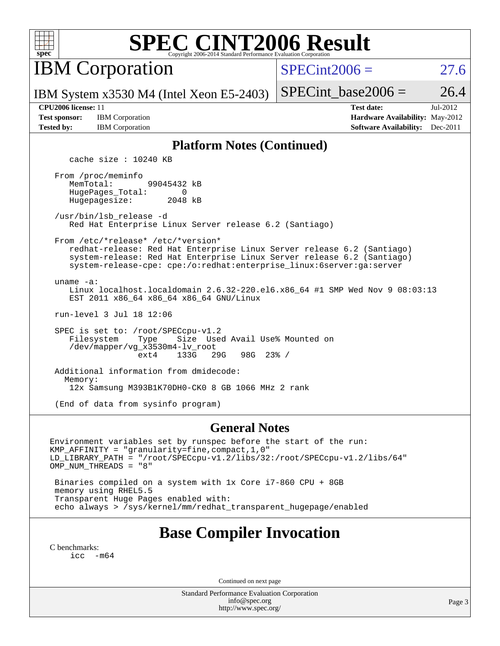

## **[SPEC CINT2006 Result](http://www.spec.org/auto/cpu2006/Docs/result-fields.html#SPECCINT2006Result)**

IBM Corporation

 $SPECint2006 = 27.6$  $SPECint2006 = 27.6$ 

IBM System x3530 M4 (Intel Xeon E5-2403)

SPECint base2006 =  $26.4$ 

**[Test sponsor:](http://www.spec.org/auto/cpu2006/Docs/result-fields.html#Testsponsor)** IBM Corporation **[Hardware Availability:](http://www.spec.org/auto/cpu2006/Docs/result-fields.html#HardwareAvailability)** May-2012

**[CPU2006 license:](http://www.spec.org/auto/cpu2006/Docs/result-fields.html#CPU2006license)** 11 **[Test date:](http://www.spec.org/auto/cpu2006/Docs/result-fields.html#Testdate)** Jul-2012 **[Tested by:](http://www.spec.org/auto/cpu2006/Docs/result-fields.html#Testedby)** IBM Corporation **[Software Availability:](http://www.spec.org/auto/cpu2006/Docs/result-fields.html#SoftwareAvailability)** Dec-2011

### **[Platform Notes \(Continued\)](http://www.spec.org/auto/cpu2006/Docs/result-fields.html#PlatformNotes)**

cache size : 10240 KB

 From /proc/meminfo MemTotal: 99045432 kB HugePages\_Total: 0<br>Hugepagesize: 2048 kB Hugepagesize:

 /usr/bin/lsb\_release -d Red Hat Enterprise Linux Server release 6.2 (Santiago)

From /etc/\*release\* /etc/\*version\*

 redhat-release: Red Hat Enterprise Linux Server release 6.2 (Santiago) system-release: Red Hat Enterprise Linux Server release 6.2 (Santiago) system-release-cpe: cpe:/o:redhat:enterprise\_linux:6server:ga:server

uname -a:

 Linux localhost.localdomain 2.6.32-220.el6.x86\_64 #1 SMP Wed Nov 9 08:03:13 EST 2011 x86\_64 x86\_64 x86\_64 GNU/Linux

run-level 3 Jul 18 12:06

 SPEC is set to: /root/SPECcpu-v1.2 Filesystem Type Size Used Avail Use% Mounted on /dev/mapper/vg\_x3530m4-lv\_root ext4 133G 29G 98G 23% /

 Additional information from dmidecode: Memory: 12x Samsung M393B1K70DH0-CK0 8 GB 1066 MHz 2 rank

(End of data from sysinfo program)

### **[General Notes](http://www.spec.org/auto/cpu2006/Docs/result-fields.html#GeneralNotes)**

Environment variables set by runspec before the start of the run: KMP\_AFFINITY = "granularity=fine,compact,1,0" LD\_LIBRARY\_PATH = "/root/SPECcpu-v1.2/libs/32:/root/SPECcpu-v1.2/libs/64" OMP\_NUM\_THREADS = "8" Binaries compiled on a system with 1x Core i7-860 CPU + 8GB

 memory using RHEL5.5 Transparent Huge Pages enabled with: echo always > /sys/kernel/mm/redhat\_transparent\_hugepage/enabled

### **[Base Compiler Invocation](http://www.spec.org/auto/cpu2006/Docs/result-fields.html#BaseCompilerInvocation)**

[C benchmarks](http://www.spec.org/auto/cpu2006/Docs/result-fields.html#Cbenchmarks): [icc -m64](http://www.spec.org/cpu2006/results/res2012q3/cpu2006-20120725-23835.flags.html#user_CCbase_intel_icc_64bit_f346026e86af2a669e726fe758c88044)

Continued on next page

Standard Performance Evaluation Corporation [info@spec.org](mailto:info@spec.org) <http://www.spec.org/>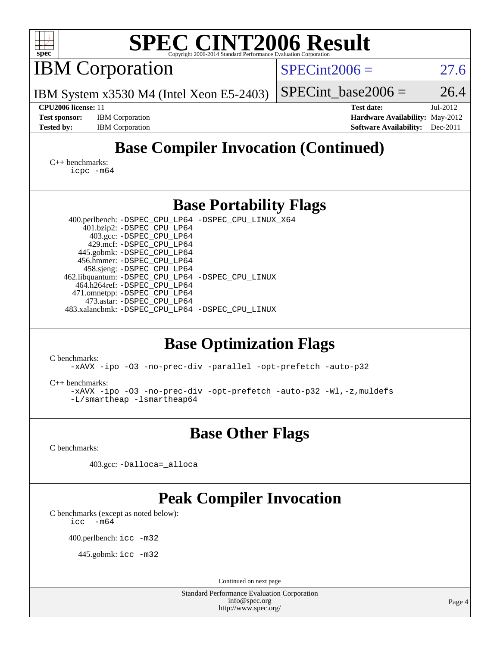| <b>SPEC CINT2006 Result</b><br>spec <sup>®</sup><br>Copyright 2006-2014 Standard Performance Evaluation Corporation                                                                                                                                                                                                                                                                                                                       |                                                                                                               |  |  |  |  |  |  |
|-------------------------------------------------------------------------------------------------------------------------------------------------------------------------------------------------------------------------------------------------------------------------------------------------------------------------------------------------------------------------------------------------------------------------------------------|---------------------------------------------------------------------------------------------------------------|--|--|--|--|--|--|
| <b>IBM</b> Corporation                                                                                                                                                                                                                                                                                                                                                                                                                    | $SPECint2006 =$<br>27.6                                                                                       |  |  |  |  |  |  |
| IBM System x3530 M4 (Intel Xeon E5-2403)                                                                                                                                                                                                                                                                                                                                                                                                  | 26.4<br>$SPECint\_base2006 =$                                                                                 |  |  |  |  |  |  |
| CPU2006 license: 11<br><b>Test sponsor:</b><br><b>IBM</b> Corporation<br><b>Tested by:</b><br><b>IBM</b> Corporation                                                                                                                                                                                                                                                                                                                      | <b>Test date:</b><br>Jul-2012<br>Hardware Availability: May-2012<br><b>Software Availability:</b><br>Dec-2011 |  |  |  |  |  |  |
| <b>Base Compiler Invocation (Continued)</b><br>$C_{++}$ benchmarks:<br>icpc -m64                                                                                                                                                                                                                                                                                                                                                          |                                                                                                               |  |  |  |  |  |  |
| <b>Base Portability Flags</b>                                                                                                                                                                                                                                                                                                                                                                                                             |                                                                                                               |  |  |  |  |  |  |
| 400.perlbench: -DSPEC_CPU_LP64 -DSPEC_CPU_LINUX_X64<br>401.bzip2: -DSPEC_CPU_LP64<br>403.gcc: -DSPEC_CPU_LP64<br>429.mcf: -DSPEC_CPU_LP64<br>445.gobmk: -DSPEC_CPU_LP64<br>456.hmmer: - DSPEC_CPU_LP64<br>458.sjeng: -DSPEC_CPU_LP64<br>462.libquantum: -DSPEC_CPU_LP64 -DSPEC_CPU_LINUX<br>464.h264ref: -DSPEC_CPU_LP64<br>471.omnetpp: -DSPEC_CPU_LP64<br>473.astar: -DSPEC_CPU_LP64<br>483.xalancbmk: -DSPEC_CPU_LP64 -DSPEC_CPU_LINUX |                                                                                                               |  |  |  |  |  |  |
| <b>Base Optimization Flags</b><br>C benchmarks:                                                                                                                                                                                                                                                                                                                                                                                           |                                                                                                               |  |  |  |  |  |  |
| -xAVX -ipo -03 -no-prec-div -parallel -opt-prefetch -auto-p32<br>$C_{++}$ benchmarks:<br>-xAVX -ipo -03 -no-prec-div -opt-prefetch -auto-p32 -Wl,-z, muldefs<br>$-L/s$ martheap -lsmartheap64                                                                                                                                                                                                                                             |                                                                                                               |  |  |  |  |  |  |
| <b>Base Other Flags</b>                                                                                                                                                                                                                                                                                                                                                                                                                   |                                                                                                               |  |  |  |  |  |  |
| C benchmarks:                                                                                                                                                                                                                                                                                                                                                                                                                             |                                                                                                               |  |  |  |  |  |  |
| 403.gcc: -Dalloca=_alloca                                                                                                                                                                                                                                                                                                                                                                                                                 |                                                                                                               |  |  |  |  |  |  |
| <b>Peak Compiler Invocation</b><br>C benchmarks (except as noted below):<br>$-m64$<br>icc<br>400.perlbench: icc -m32<br>445.gobmk: icc -m32                                                                                                                                                                                                                                                                                               |                                                                                                               |  |  |  |  |  |  |
| Continued on next page<br>Standard Performance Evaluation Corporation                                                                                                                                                                                                                                                                                                                                                                     |                                                                                                               |  |  |  |  |  |  |
| info@spec.org<br>http://www.spec.org/                                                                                                                                                                                                                                                                                                                                                                                                     | Page 4                                                                                                        |  |  |  |  |  |  |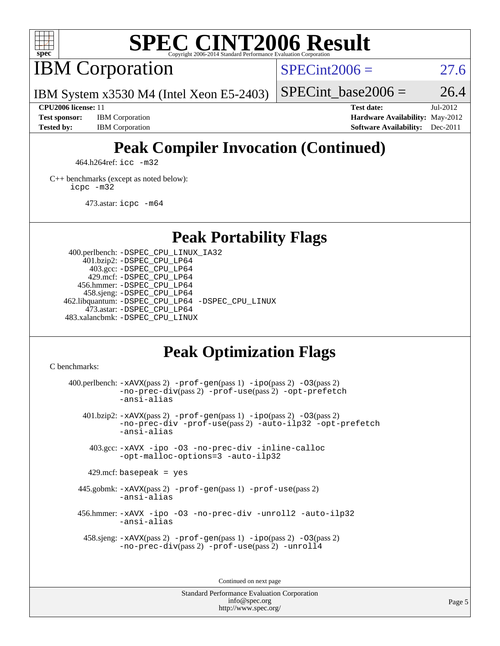

## **[SPEC CINT2006 Result](http://www.spec.org/auto/cpu2006/Docs/result-fields.html#SPECCINT2006Result)**

IBM Corporation

 $SPECint2006 = 27.6$  $SPECint2006 = 27.6$ 

IBM System x3530 M4 (Intel Xeon E5-2403)

SPECint base2006 =  $26.4$ **[CPU2006 license:](http://www.spec.org/auto/cpu2006/Docs/result-fields.html#CPU2006license)** 11 **[Test date:](http://www.spec.org/auto/cpu2006/Docs/result-fields.html#Testdate)** Jul-2012

**[Test sponsor:](http://www.spec.org/auto/cpu2006/Docs/result-fields.html#Testsponsor)** IBM Corporation **[Hardware Availability:](http://www.spec.org/auto/cpu2006/Docs/result-fields.html#HardwareAvailability)** May-2012 **[Tested by:](http://www.spec.org/auto/cpu2006/Docs/result-fields.html#Testedby)** IBM Corporation **[Software Availability:](http://www.spec.org/auto/cpu2006/Docs/result-fields.html#SoftwareAvailability)** Dec-2011

### **[Peak Compiler Invocation \(Continued\)](http://www.spec.org/auto/cpu2006/Docs/result-fields.html#PeakCompilerInvocation)**

464.h264ref: [icc -m32](http://www.spec.org/cpu2006/results/res2012q3/cpu2006-20120725-23835.flags.html#user_peakCCLD464_h264ref_intel_icc_a6a621f8d50482236b970c6ac5f55f93)

[C++ benchmarks \(except as noted below\):](http://www.spec.org/auto/cpu2006/Docs/result-fields.html#CXXbenchmarksexceptasnotedbelow) [icpc -m32](http://www.spec.org/cpu2006/results/res2012q3/cpu2006-20120725-23835.flags.html#user_CXXpeak_intel_icpc_4e5a5ef1a53fd332b3c49e69c3330699)

473.astar: [icpc -m64](http://www.spec.org/cpu2006/results/res2012q3/cpu2006-20120725-23835.flags.html#user_peakCXXLD473_astar_intel_icpc_64bit_fc66a5337ce925472a5c54ad6a0de310)

**[Peak Portability Flags](http://www.spec.org/auto/cpu2006/Docs/result-fields.html#PeakPortabilityFlags)**

 400.perlbench: [-DSPEC\\_CPU\\_LINUX\\_IA32](http://www.spec.org/cpu2006/results/res2012q3/cpu2006-20120725-23835.flags.html#b400.perlbench_peakCPORTABILITY_DSPEC_CPU_LINUX_IA32) 401.bzip2: [-DSPEC\\_CPU\\_LP64](http://www.spec.org/cpu2006/results/res2012q3/cpu2006-20120725-23835.flags.html#suite_peakPORTABILITY401_bzip2_DSPEC_CPU_LP64) 403.gcc: [-DSPEC\\_CPU\\_LP64](http://www.spec.org/cpu2006/results/res2012q3/cpu2006-20120725-23835.flags.html#suite_peakPORTABILITY403_gcc_DSPEC_CPU_LP64) 429.mcf: [-DSPEC\\_CPU\\_LP64](http://www.spec.org/cpu2006/results/res2012q3/cpu2006-20120725-23835.flags.html#suite_peakPORTABILITY429_mcf_DSPEC_CPU_LP64) 456.hmmer: [-DSPEC\\_CPU\\_LP64](http://www.spec.org/cpu2006/results/res2012q3/cpu2006-20120725-23835.flags.html#suite_peakPORTABILITY456_hmmer_DSPEC_CPU_LP64) 458.sjeng: [-DSPEC\\_CPU\\_LP64](http://www.spec.org/cpu2006/results/res2012q3/cpu2006-20120725-23835.flags.html#suite_peakPORTABILITY458_sjeng_DSPEC_CPU_LP64) 462.libquantum: [-DSPEC\\_CPU\\_LP64](http://www.spec.org/cpu2006/results/res2012q3/cpu2006-20120725-23835.flags.html#suite_peakPORTABILITY462_libquantum_DSPEC_CPU_LP64) [-DSPEC\\_CPU\\_LINUX](http://www.spec.org/cpu2006/results/res2012q3/cpu2006-20120725-23835.flags.html#b462.libquantum_peakCPORTABILITY_DSPEC_CPU_LINUX) 473.astar: [-DSPEC\\_CPU\\_LP64](http://www.spec.org/cpu2006/results/res2012q3/cpu2006-20120725-23835.flags.html#suite_peakPORTABILITY473_astar_DSPEC_CPU_LP64) 483.xalancbmk: [-DSPEC\\_CPU\\_LINUX](http://www.spec.org/cpu2006/results/res2012q3/cpu2006-20120725-23835.flags.html#b483.xalancbmk_peakCXXPORTABILITY_DSPEC_CPU_LINUX)

### **[Peak Optimization Flags](http://www.spec.org/auto/cpu2006/Docs/result-fields.html#PeakOptimizationFlags)**

[C benchmarks](http://www.spec.org/auto/cpu2006/Docs/result-fields.html#Cbenchmarks):

400.perlbench:  $-xAUX(pass 2)$  -prof-qen(pass 1) [-ipo](http://www.spec.org/cpu2006/results/res2012q3/cpu2006-20120725-23835.flags.html#user_peakPASS2_CFLAGSPASS2_LDCFLAGS400_perlbench_f-ipo)(pass 2) -03(pass 2) [-no-prec-div](http://www.spec.org/cpu2006/results/res2012q3/cpu2006-20120725-23835.flags.html#user_peakPASS2_CFLAGSPASS2_LDCFLAGS400_perlbench_f-no-prec-div)(pass 2) [-prof-use](http://www.spec.org/cpu2006/results/res2012q3/cpu2006-20120725-23835.flags.html#user_peakPASS2_CFLAGSPASS2_LDCFLAGS400_perlbench_prof_use_bccf7792157ff70d64e32fe3e1250b55)(pass 2) [-opt-prefetch](http://www.spec.org/cpu2006/results/res2012q3/cpu2006-20120725-23835.flags.html#user_peakCOPTIMIZE400_perlbench_f-opt-prefetch) [-ansi-alias](http://www.spec.org/cpu2006/results/res2012q3/cpu2006-20120725-23835.flags.html#user_peakCOPTIMIZE400_perlbench_f-ansi-alias) 401.bzip2: [-xAVX](http://www.spec.org/cpu2006/results/res2012q3/cpu2006-20120725-23835.flags.html#user_peakPASS2_CFLAGSPASS2_LDCFLAGS401_bzip2_f-xAVX)(pass 2) [-prof-gen](http://www.spec.org/cpu2006/results/res2012q3/cpu2006-20120725-23835.flags.html#user_peakPASS1_CFLAGSPASS1_LDCFLAGS401_bzip2_prof_gen_e43856698f6ca7b7e442dfd80e94a8fc)(pass 1) [-ipo](http://www.spec.org/cpu2006/results/res2012q3/cpu2006-20120725-23835.flags.html#user_peakPASS2_CFLAGSPASS2_LDCFLAGS401_bzip2_f-ipo)(pass 2) [-O3](http://www.spec.org/cpu2006/results/res2012q3/cpu2006-20120725-23835.flags.html#user_peakPASS2_CFLAGSPASS2_LDCFLAGS401_bzip2_f-O3)(pass 2) [-no-prec-div](http://www.spec.org/cpu2006/results/res2012q3/cpu2006-20120725-23835.flags.html#user_peakCOPTIMIZEPASS2_CFLAGSPASS2_LDCFLAGS401_bzip2_f-no-prec-div) [-prof-use](http://www.spec.org/cpu2006/results/res2012q3/cpu2006-20120725-23835.flags.html#user_peakPASS2_CFLAGSPASS2_LDCFLAGS401_bzip2_prof_use_bccf7792157ff70d64e32fe3e1250b55)(pass 2) [-auto-ilp32](http://www.spec.org/cpu2006/results/res2012q3/cpu2006-20120725-23835.flags.html#user_peakCOPTIMIZE401_bzip2_f-auto-ilp32) [-opt-prefetch](http://www.spec.org/cpu2006/results/res2012q3/cpu2006-20120725-23835.flags.html#user_peakCOPTIMIZE401_bzip2_f-opt-prefetch) [-ansi-alias](http://www.spec.org/cpu2006/results/res2012q3/cpu2006-20120725-23835.flags.html#user_peakCOPTIMIZE401_bzip2_f-ansi-alias) 403.gcc: [-xAVX](http://www.spec.org/cpu2006/results/res2012q3/cpu2006-20120725-23835.flags.html#user_peakCOPTIMIZE403_gcc_f-xAVX) [-ipo](http://www.spec.org/cpu2006/results/res2012q3/cpu2006-20120725-23835.flags.html#user_peakCOPTIMIZE403_gcc_f-ipo) [-O3](http://www.spec.org/cpu2006/results/res2012q3/cpu2006-20120725-23835.flags.html#user_peakCOPTIMIZE403_gcc_f-O3) [-no-prec-div](http://www.spec.org/cpu2006/results/res2012q3/cpu2006-20120725-23835.flags.html#user_peakCOPTIMIZE403_gcc_f-no-prec-div) [-inline-calloc](http://www.spec.org/cpu2006/results/res2012q3/cpu2006-20120725-23835.flags.html#user_peakCOPTIMIZE403_gcc_f-inline-calloc) [-opt-malloc-options=3](http://www.spec.org/cpu2006/results/res2012q3/cpu2006-20120725-23835.flags.html#user_peakCOPTIMIZE403_gcc_f-opt-malloc-options_13ab9b803cf986b4ee62f0a5998c2238) [-auto-ilp32](http://www.spec.org/cpu2006/results/res2012q3/cpu2006-20120725-23835.flags.html#user_peakCOPTIMIZE403_gcc_f-auto-ilp32)  $429$ .mcf: basepeak = yes 445.gobmk: [-xAVX](http://www.spec.org/cpu2006/results/res2012q3/cpu2006-20120725-23835.flags.html#user_peakPASS2_CFLAGSPASS2_LDCFLAGS445_gobmk_f-xAVX)(pass 2) [-prof-gen](http://www.spec.org/cpu2006/results/res2012q3/cpu2006-20120725-23835.flags.html#user_peakPASS1_CFLAGSPASS1_LDCFLAGS445_gobmk_prof_gen_e43856698f6ca7b7e442dfd80e94a8fc)(pass 1) [-prof-use](http://www.spec.org/cpu2006/results/res2012q3/cpu2006-20120725-23835.flags.html#user_peakPASS2_CFLAGSPASS2_LDCFLAGS445_gobmk_prof_use_bccf7792157ff70d64e32fe3e1250b55)(pass 2) [-ansi-alias](http://www.spec.org/cpu2006/results/res2012q3/cpu2006-20120725-23835.flags.html#user_peakCOPTIMIZE445_gobmk_f-ansi-alias) 456.hmmer: [-xAVX](http://www.spec.org/cpu2006/results/res2012q3/cpu2006-20120725-23835.flags.html#user_peakCOPTIMIZE456_hmmer_f-xAVX) [-ipo](http://www.spec.org/cpu2006/results/res2012q3/cpu2006-20120725-23835.flags.html#user_peakCOPTIMIZE456_hmmer_f-ipo) [-O3](http://www.spec.org/cpu2006/results/res2012q3/cpu2006-20120725-23835.flags.html#user_peakCOPTIMIZE456_hmmer_f-O3) [-no-prec-div](http://www.spec.org/cpu2006/results/res2012q3/cpu2006-20120725-23835.flags.html#user_peakCOPTIMIZE456_hmmer_f-no-prec-div) [-unroll2](http://www.spec.org/cpu2006/results/res2012q3/cpu2006-20120725-23835.flags.html#user_peakCOPTIMIZE456_hmmer_f-unroll_784dae83bebfb236979b41d2422d7ec2) [-auto-ilp32](http://www.spec.org/cpu2006/results/res2012q3/cpu2006-20120725-23835.flags.html#user_peakCOPTIMIZE456_hmmer_f-auto-ilp32) [-ansi-alias](http://www.spec.org/cpu2006/results/res2012q3/cpu2006-20120725-23835.flags.html#user_peakCOPTIMIZE456_hmmer_f-ansi-alias) 458.sjeng: [-xAVX](http://www.spec.org/cpu2006/results/res2012q3/cpu2006-20120725-23835.flags.html#user_peakPASS2_CFLAGSPASS2_LDCFLAGS458_sjeng_f-xAVX)(pass 2) [-prof-gen](http://www.spec.org/cpu2006/results/res2012q3/cpu2006-20120725-23835.flags.html#user_peakPASS1_CFLAGSPASS1_LDCFLAGS458_sjeng_prof_gen_e43856698f6ca7b7e442dfd80e94a8fc)(pass 1) [-ipo](http://www.spec.org/cpu2006/results/res2012q3/cpu2006-20120725-23835.flags.html#user_peakPASS2_CFLAGSPASS2_LDCFLAGS458_sjeng_f-ipo)(pass 2) [-O3](http://www.spec.org/cpu2006/results/res2012q3/cpu2006-20120725-23835.flags.html#user_peakPASS2_CFLAGSPASS2_LDCFLAGS458_sjeng_f-O3)(pass 2) [-no-prec-div](http://www.spec.org/cpu2006/results/res2012q3/cpu2006-20120725-23835.flags.html#user_peakPASS2_CFLAGSPASS2_LDCFLAGS458_sjeng_f-no-prec-div)(pass 2) [-prof-use](http://www.spec.org/cpu2006/results/res2012q3/cpu2006-20120725-23835.flags.html#user_peakPASS2_CFLAGSPASS2_LDCFLAGS458_sjeng_prof_use_bccf7792157ff70d64e32fe3e1250b55)(pass 2) [-unroll4](http://www.spec.org/cpu2006/results/res2012q3/cpu2006-20120725-23835.flags.html#user_peakCOPTIMIZE458_sjeng_f-unroll_4e5e4ed65b7fd20bdcd365bec371b81f)

Continued on next page

Standard Performance Evaluation Corporation [info@spec.org](mailto:info@spec.org) <http://www.spec.org/>